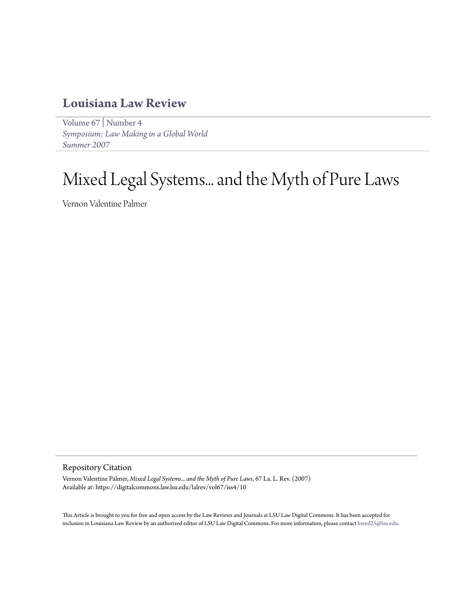# **[Louisiana Law Review](https://digitalcommons.law.lsu.edu/lalrev)**

[Volume 67](https://digitalcommons.law.lsu.edu/lalrev/vol67) | [Number 4](https://digitalcommons.law.lsu.edu/lalrev/vol67/iss4) *[Symposium: Law Making in a Global World](https://digitalcommons.law.lsu.edu/lalrev/vol67/iss4) [Summer 2007](https://digitalcommons.law.lsu.edu/lalrev/vol67/iss4)*

# Mixed Legal Systems... and the Myth of Pure Laws

Vernon Valentine Palmer

#### Repository Citation

Vernon Valentine Palmer, *Mixed Legal Systems... and the Myth of Pure Laws*, 67 La. L. Rev. (2007) Available at: https://digitalcommons.law.lsu.edu/lalrev/vol67/iss4/10

This Article is brought to you for free and open access by the Law Reviews and Journals at LSU Law Digital Commons. It has been accepted for inclusion in Louisiana Law Review by an authorized editor of LSU Law Digital Commons. For more information, please contact [kreed25@lsu.edu](mailto:kreed25@lsu.edu).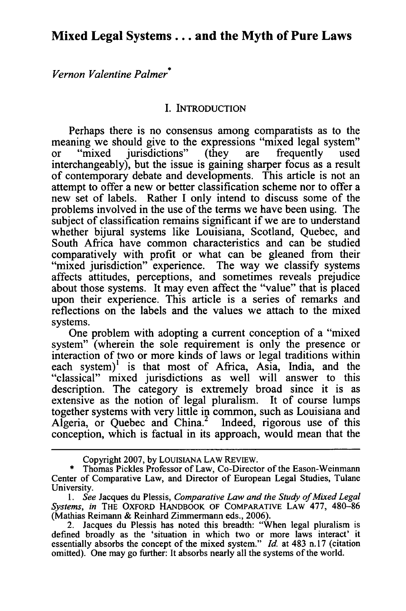# **Mixed Legal Systems... and the Myth of Pure Laws**

*Vernon Valentine Palmer\**

# **I.** INTRODUCTION

Perhaps there is no consensus among comparatists as to the meaning we should give to the expressions "mixed legal system"<br>or "mixed iurisdictions" (they are frequently used or "mixed jurisdictions" (they are frequently used interchangeably), but the issue is gaining sharper focus as a result of contemporary debate and developments. This article is not an attempt to offer a new or better classification scheme nor to offer a new set of labels. Rather I only intend to discuss some of the problems involved in the use of the terms we have been using. The subject of classification remains significant if we are to understand whether bijural systems like Louisiana, Scotland, Quebec, and South Africa have common characteristics and can be studied comparatively with profit or what can be gleaned from their "mixed jurisdiction" experience. The way we classify systems affects attitudes, perceptions, and sometimes reveals prejudice about those systems. It may even affect the "value" that is placed upon their experience. This article is a series of remarks and reflections on the labels and the values we attach to the mixed systems.

One problem with adopting a current conception of a "mixed system" (wherein the sole requirement is only the presence or interaction of two or more kinds of laws or legal traditions within each system)<sup>1</sup> is that most of Africa, Asia, India, and the "classical" mixed jurisdictions as well will answer to this description. The category is extremely broad since it is as extensive as the notion of legal pluralism. It of course lumps together systems with very little in common, such as Louisiana and Algeria, or Quebec and China.<sup>2</sup> Indeed, rigorous use of this conception, which is factual in its approach, would mean that the

Copyright 2007, by **LOUISIANA** LAW REVIEW.

<sup>\*</sup> Thomas Pickles Professor of Law, Co-Director of the Eason-Weinmann Center of Comparative Law, and Director of European Legal Studies, Tulane University.

*<sup>1.</sup> See* Jacques du Plessis, *Comparative Law and the Study of Mixed Legal Systems, in* THE OXFORD HANDBOOK **OF** COMPARATIVE **LAW** 477, 480-86 (Mathias Reimann & Reinhard Zimmermann eds., 2006).

<sup>2.</sup> Jacques du Plessis has noted this breadth: "When legal pluralism is defined broadly as the 'situation in which two or more laws interact' it essentially absorbs the concept of the mixed system." *Id.* at 483 n. 17 (citation omitted). One may go further: It absorbs nearly all the systems of the world.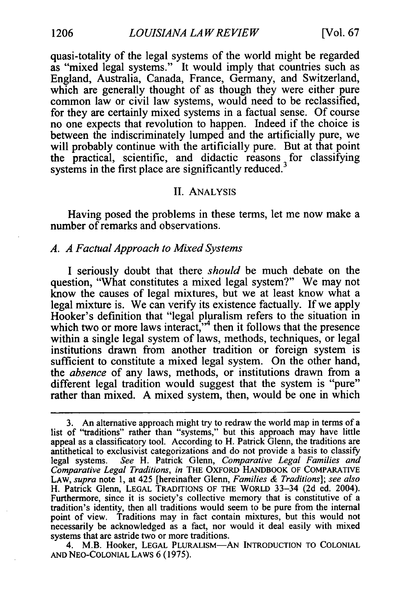quasi-totality of the legal systems of the world might be regarded as "mixed legal systems." It would imply that countries such as England, Australia, Canada, France, Germany, and Switzerland, which are generally thought of as though they were either pure common law or civil law systems, would need to be reclassified, for they are certainly mixed systems in a factual sense. Of course no one expects that revolution to happen. Indeed if the choice is between the indiscriminately lumped and the artificially pure, we will probably continue with the artificially pure. But at that point the practical, scientific, and didactic reasons for classifying systems in the first place are significantly reduced.<sup>3</sup>

#### II. ANALYSIS

Having posed the problems in these terms, let me now make a number of remarks and observations.

# *A. A Factual Approach to Mixed Systems*

I seriously doubt that there *should* be much debate on the question, "What constitutes a mixed legal system?" We may not know the causes of legal mixtures, but we at least know what a legal mixture is. We can verify its existence factually. If we apply Hooker's definition that "legal pluralism refers to the situation in which two or more laws interact,"<sup>4</sup> then it follows that the presence within a single legal system of laws, methods, techniques, or legal institutions drawn from another tradition or foreign system is sufficient to constitute a mixed legal system. On the other hand, the *absence* of any laws, methods, or institutions drawn from a different legal tradition would suggest that the system is "pure" rather than mixed. A mixed system, then, would be one in which

4. M.B. Hooker, LEGAL PLURALISM-AN INTRODUCTION TO COLONIAL **AND** NEO-COLONIAL LAWS 6 (1975).

<sup>3.</sup> An alternative approach might try to redraw the world map in terms of a list of "traditions" rather than "systems," but this approach may have little appeal as a classificatory tool. According to H. Patrick Glenn, the traditions are antithetical to exclusivist categorizations and do not provide a basis to classify legal systems. *See* H. Patrick Glenn, *Comparative Legal Families and Comparative Legal Traditions, in* THE OXFORD HANDBOOK OF COMPARATIVE LAW, *supra* note **1,** at 425 [hereinafter Glenn, *Families & Traditions]; see also* H. Patrick Glenn, LEGAL TRADITIONS OF THE WORLD 33-34 (2d ed. 2004). Furthermore, since it is society's collective memory that is constitutive of a tradition's identity, then all traditions would seem to be pure from the internal point of view. Traditions may in fact contain mixtures, but this would not necessarily be acknowledged as a fact, nor would it deal easily with mixed systems that are astride two or more traditions.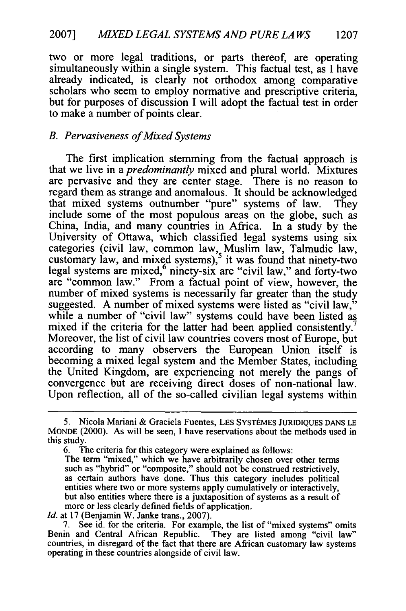two or more legal traditions, or parts thereof, are operating simultaneously within a single system. This factual test, as I have already indicated, is clearly not orthodox among comparative scholars who seem to employ normative and prescriptive criteria, but for purposes of discussion I will adopt the factual test in order to make a number of points clear.

# *B. Pervasiveness of Mixed Systems*

The first implication stemming from the factual approach is that we live in a *predominantly* mixed and plural world. Mixtures are pervasive and they are center stage. There is no reason to regard them as strange and anomalous. It should be acknowledged that mixed systems outnumber "pure" systems of law. They include some of the most populous areas on the globe, such as China, India, and many countries in Africa. In a study by the University of Ottawa, which classified legal systems using six categories (civil law, common law, Muslim law, Talmudic law, customary law, and mixed systems), <sup>5</sup> it was found that ninety-two legal systems are mixed, <sup>6</sup> ninety-six are "civil law," and forty-two legal systems are mixed,<sup>6</sup> ninety-six are "civil law," and forty-two are "common law." From a factual point of view, however, the number of mixed systems is necessarily far greater than the study suggested. A number of mixed systems were listed as "civil law," while a number of "civil law" systems could have been listed as mixed if the criteria for the latter had been applied consistently.<sup>7</sup> Moreover, the list of civil law countries covers most of Europe, but according to many observers the European Union itself is becoming a mixed legal system and the Member States, including the United Kingdom, are experiencing not merely the pangs of convergence but are receiving direct doses of non-national law. Upon reflection, all of the so-called civilian legal systems within

6. The criteria for this category were explained as follows: The term "mixed," which we have arbitrarily chosen over other terms such as "hybrid" or "composite," should not be construed restrictively, as certain authors have done. Thus this category includes political entities where two or more systems apply cumulatively or interactively, but also entities where there is a juxtaposition of systems as a result of

more or less clearly defined fields of application. *Id.* at 17 (Benjamin W. Janke trans., 2007).

7. See id. for the criteria. For example, the list of "mixed systems" omits Benin and Central African Republic. They are listed among "civil law" countries, in disregard of the fact that there are African customary law systems operating in these countries alongside of civil law.

<sup>5.</sup> Nicola Mariani & Graciela Fuentes, LES SYSTÈMES JURIDIQUES DANS LE MONDE (2000). As will be seen, I have reservations about the methods used in this study.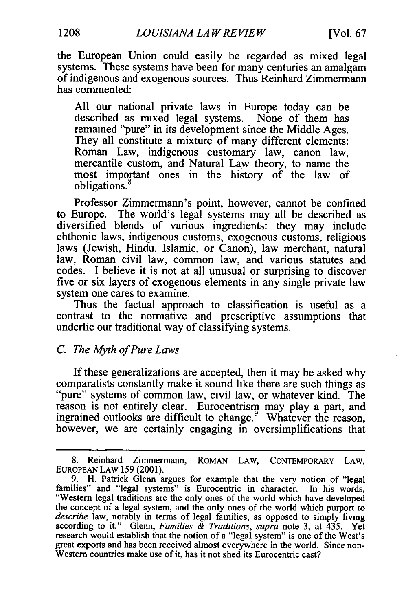the European Union could easily be regarded as mixed legal systems. These systems have been for many centuries an amalgam of indigenous and exogenous sources. Thus Reinhard Zimmermann has commented:

All our national private laws in Europe today can be described as mixed legal systems. None of them has remained "pure" in its development since the Middle Ages. They all constitute a mixture of many different elements: Roman Law, indigenous customary law, canon law, mercantile custom, and Natural Law theory, to name the most important ones in the history of the law of obligations.<sup>8</sup>

Professor Zimmermann's point, however, cannot be confined to Europe. The world's legal systems may all be described as diversified blends of various ingredients: they may include chthonic laws, indigenous customs, exogenous customs, religious laws (Jewish, Hindu, Islamic, or Canon), law merchant, natural law, Roman civil law, common law, and various statutes and codes. I believe it is not at all unusual or surprising to discover five or six layers of exogenous elements in any single private law system one cares to examine.

Thus the factual approach to classification is useful as a contrast to the normative and prescriptive assumptions that underlie our traditional way of classifying systems.

# *C. The Myth of Pure Laws*

If these generalizations are accepted, then it may be asked why comparatists constantly make it sound like there are such things as "pure" systems of common law, civil law, or whatever kind. The reason is not entirely clear. Eurocentrism may play a part, and ingrained outlooks are difficult to change.<sup>9</sup> Whatever the reason, however, we are certainly engaging in oversimplifications that

<sup>8.</sup> Reinhard Zimmermann, ROMAN LAW, CONTEMPORARY LAW, EUROPEAN LAW 159 (2001).

<sup>9.</sup> H. Patrick Glenn argues for example that the very notion of "legal families" and "legal systems" is Eurocentric in character. In his words, "Western legal traditions are the only ones of the world which have developed the concept of a legal system, and the only ones of the world which purport to *describe* law, notably in terms of legal families, as opposed to simply living according to it." Glenn, *Families & Traditions, supra* note 3, at 435. Yet research would establish that the notion of a "legal system" is one of the West's great exports and has been received almost everywhere in the world. Since non-Western countries make use of it, has it not shed its Eurocentric cast?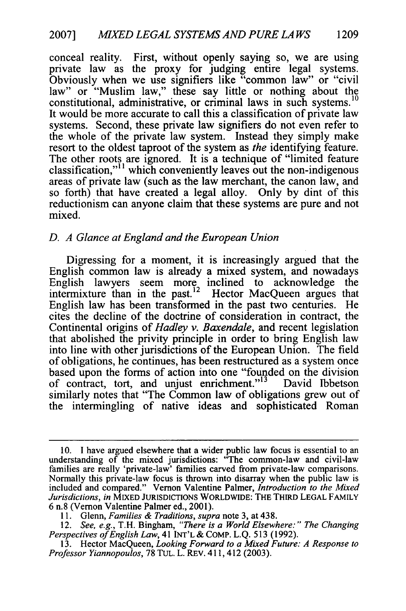conceal reality. First, without openly saying so, we are using private law as the proxy for judging entire legal systems. Obviously when we use signifiers like "common law" or "civil law" or "Muslim law," these say little or nothing about the constitutional, administrative, or criminal laws in such systems.<sup>10</sup> It would be more accurate to call this a classification of private law systems. Second, these private law signifiers do not even refer to the whole of the private law system. Instead they simply make resort to the oldest taproot of the system as *the* identifying feature. The other roots are ignored. It is a technique of "limited feature classification,"<sup>11</sup> which conveniently leaves out the non-indigenous areas of private law (such as the law merchant, the canon law, and so forth) that have created a legal alloy. Only by dint of this reductionism can anyone claim that these systems are pure and not mixed.

# *D. A Glance at England and the European Union*

Digressing for a moment, it is increasingly argued that the English common law is already a mixed system, and nowadays English lawyers seem more inclined to acknowledge the intermixture than in the past.<sup>12</sup> Hector MacQueen argues that English law has been transformed in the past two centuries. He cites the decline of the doctrine of consideration in contract, the Continental origins of *Hadley v. Baxendale,* and recent legislation that abolished the privity principle in order to bring English law into line with other jurisdictions of the European Union. The field of obligations, he continues, has been restructured as a system once based upon the forms of action into one "founded on the division of contract, tort, and unjust enrichment."<sup>13</sup> David Ibbetson similarly notes that "The Common law of obligations grew out of the intermingling of native ideas and sophisticated Roman

13. Hector MacQueen, *Looking Forward to a Mixed Future: A Response to Professor Yiannopoulos,* 78 TUL. L. REv. 411,412 (2003).

<sup>10.</sup> I have argued elsewhere that a wider public law focus is essential to an understanding of the mixed jurisdictions: "The common-law and civil-law families are really 'private-law' families carved from private-law comparisons. Normally this private-law focus is thrown into disarray when the public law is included and compared." Vernon Valentine Palmer, *Introduction to the Mixed Jurisdictions, in* MIXED JURISDICTIONS WORLDWIDE: THE THIRD LEGAL FAMILY 6 n.8 (Vernon Valentine Palmer ed., 2001).

<sup>11.</sup> Glenn, *Families & Traditions, supra* note 3, at 438.

<sup>12.</sup> *See, e.g.,* T.H. Bingham, *"There is a World Elsewhere:" The Changing Perspectives of English Law,* 41 INT'L & COMP. L.Q. 513 (1992).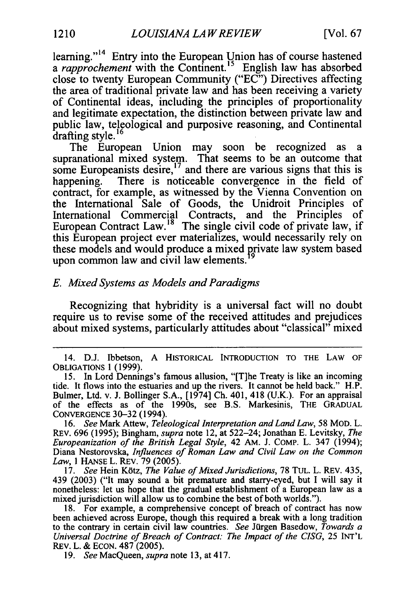learning."<sup>14</sup> Entry into the European Union has of course hastened a *rapprochement* with the Continent.<sup>15</sup> English law has absorbed close to twenty European Community ("EC") Directives affecting the area of traditional private law and has been receiving a variety of Continental ideas, including the principles of proportionality and legitimate expectation, the distinction between private law and public law, teleological and purposive reasoning, and Continental drafting style. $16$ 

The European Union may soon be recognized as a supranational mixed system. That seems to be an outcome that some Europeanists desire,<sup>17</sup> and there are various signs that this is happening. There is noticeable convergence in the field of contract, for example, as witnessed by the Vienna Convention on the International Sale of Goods, the Unidroit Principles of International Commercial Contracts, and the Principles of European Contract Law.<sup>18</sup> The single civil code of private law, if this European project ever materializes, would necessarily rely on these models and would produce a mixed private law system based upon common law and civil law elements. **<sup>9</sup>**

# *E. Mixed Systems as Models and Paradigms*

Recognizing that hybridity is a universal fact will no doubt require us to revise some of the received attitudes and prejudices about mixed systems, particularly attitudes about "classical" mixed

19. *See* MacQueen, *supra* note 13, at 417.

<sup>14.</sup> D.J. Ibbetson, A HISTORICAL INTRODUCTION TO THE LAW OF **OBLIGATIONS** 1 (1999).

**<sup>15.</sup>** In Lord Dennings's famous allusion, "[T]he Treaty is like an incoming tide. It flows into the estuaries and up the rivers. It cannot be held back." H.P. Bulmer, Ltd. v. **J.** Bollinger S.A., [1974] Ch. 401, 418 (U.K.). For an appraisal of the effects as of the 1990s, see B.S. Markesinis, THE **GRADUAL CONVERGENCE** 30-32 (1994).

<sup>16.</sup> *See* Mark Attew, *Teleological Interpretation and Land Law,* 58 MOD. L. REV. 696 (1995); Bingham, *supra* note 12, at 522-24; Jonathan E. Levitsky, *The Europeanization of the British Legal Style,* 42 AM. J. COMP. L. 347 (1994); Diana Nestorovska, *Influences of Roman Law and Civil Law on the Common* Law, 1 HANSE L. REV. 79 (2005).

<sup>17.</sup> *See* Hein Kbtz, *The Value of Mixed Jurisdictions,* 78 TUL. L. REV. 435, 439 (2003) ("It may sound a bit premature and starry-eyed, but I will say it nonetheless: let us hope that the gradual establishment of a European law as a mixed jurisdiction will allow us to combine the best of both worlds.").

<sup>18.</sup> For example, a comprehensive concept of breach of contract has now been achieved across Europe, though this required a break with a long tradition to the contrary in certain civil law countries. *See* Jdrgen Basedow, *Towards a Universal Doctrine of Breach of Contract: The Impact of the CISG,* 25 **INT'L** REV. L. & ECON. 487 (2005).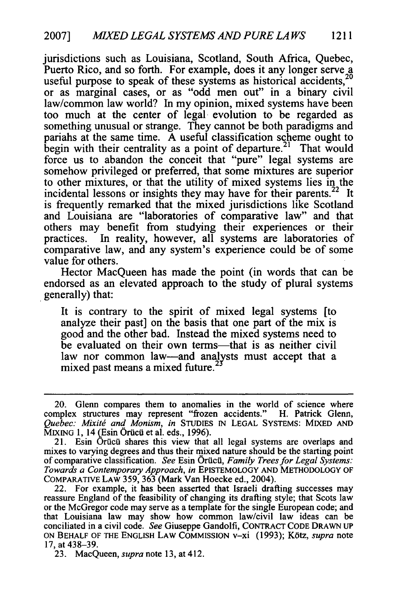jurisdictions such as Louisiana, Scotland, South Africa, Quebec, Puerto Rico, and so forth. For example, does it any longer serve a useful purpose to speak of these systems as historical accidents,<sup>2</sup> or as marginal cases, or as "odd men out" in a binary civil law/common law world? In my opinion, mixed systems have been too much at the center of legal. evolution to be regarded as something unusual or strange. They cannot be both paradigms and pariahs at the same time. A useful classification scheme ought to begin with their centrality as a point of departure.<sup>21</sup> That would force us to abandon the conceit that "pure" legal systems are somehow privileged or preferred, that some mixtures are superior to other mixtures, or that the utility of mixed systems lies in the incidental lessons or insights they may have for their parents.<sup>22</sup> It is frequently remarked that the mixed jurisdictions like Scotland and Louisiana are "laboratories of comparative law" and that others may benefit from studying their experiences or their practices. In reality, however, all systems are laboratories of comparative law, and any system's experience could be of some value for others.

Hector MacQueen has made the point (in words that can be endorsed as an elevated approach to the study of plural systems generally) that:

It is contrary to the spirit of mixed legal systems [to analyze their past] on the basis that one part of the mix is good and the other bad. Instead the mixed systems need to be evaluated on their own terms—that is as neither civil law nor common law-and analysts must accept that a mixed past means a mixed future.<sup>2</sup>

23. MacQueen, *supra* note 13, at 412.

<sup>20.</sup> Glenn compares them to anomalies in the world of science where complex structures may represent "frozen accidents." H. Patrick Glenn, *Quebec: Mixitg and Monism, in* STUDIES IN LEGAL SYSTEMS: MIXED **AND**  $\overline{M}$ IXING 1, 14 (Esin Örücü et al. eds., 1996).

<sup>21.</sup> Esin Örücü shares this view that all legal systems are overlaps and mixes to varying degrees and thus their mixed nature should be the starting point of comparative classification. *See* Esin OrUcii, *Family Trees for Legal Systems: Towards a Contemporary Approach, in* EPISTEMOLOGY AND METHODOLOGY OF COMPARATIVE LAW 359, 363 (Mark Van Hoecke ed., 2004).

<sup>22.</sup> For example, it has been asserted that Israeli drafting successes may reassure England of the feasibility of changing its drafting style; that Scots law or the McGregor code may serve as a template for the single European code; and that Louisiana law may show how common law/civil law ideas can be conciliated in a civil code. *See* Giuseppe Gandolfi, CONTRACT CODE DRAWN up **ON** BEHALF OF THE ENGLISH LAW COMMISSION v-xi (1993); K6tz, *supra* note 17, at 438-39.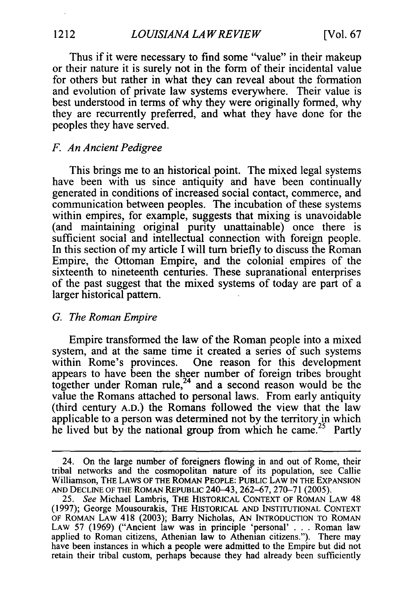Thus if it were necessary to find some "value" in their makeup or their nature it is surely not in the form of their incidental value for others but rather in what they can reveal about the formation and evolution of private law systems everywhere. Their value is best understood in terms of why they were originally formed, why they are recurrently preferred, and what they have done for the peoples they have served.

# *F. An Ancient Pedigree*

This brings me to an historical point. The mixed legal systems have been with us since antiquity and have been continually generated in conditions of increased social contact, commerce, and communication between peoples. The incubation of these systems within empires, for example, suggests that mixing is unavoidable (and maintaining original purity unattainable) once there is sufficient social and intellectual connection with foreign people. In this section of my article I will turn briefly to discuss the Roman Empire, the Ottoman Empire, and the colonial empires of the sixteenth to nineteenth centuries. These supranational enterprises of the past suggest that the mixed systems of today are part of a larger historical pattern.

#### *G. The Roman Empire*

Empire transformed the law of the Roman people into a mixed system, and at the same time it created a series of such systems within Rome's provinces. One reason for this development appears to have been the sheer number of foreign tribes brought together under Roman rule, $24$  and a second reason would be the value the Romans attached to personal laws. From early antiquity (third century A.D.) the Romans followed the view that the law applicable to a person was determined not by the territory in which he lived but by the national group from which he came.<sup>25</sup> Partly

<sup>24.</sup> On the large number of foreigners flowing in and out of Rome, their tribal networks and the cosmopolitan nature of its population, see Callie Williamson, THE LAWS OF **THE** ROMAN PEOPLE: PUBLIC LAW **IN THE** EXPANSION **AND** DECLINE OF THE ROMAN REPUBLIC 240-43, 262-67, 270-71 (2005).

<sup>25.</sup> *See* Michael Lambris, THE HISTORICAL **CONTEXT** OF ROMAN LAW 48 (1997); George Mousourakis, THE HISTORICAL **AND INSTITUTIONAL CONTEXT** OF ROMAN LAW 418 (2003); Barry Nicholas, AN **INTRODUCTION** TO ROMAN LAW 57 (1969) ("Ancient law was in principle 'personal' . . . Roman law applied to Roman citizens, Athenian law to Athenian citizens."). There may have been instances in which a people were admitted to the Empire but did not retain their tribal custom, perhaps because they had already been sufficiently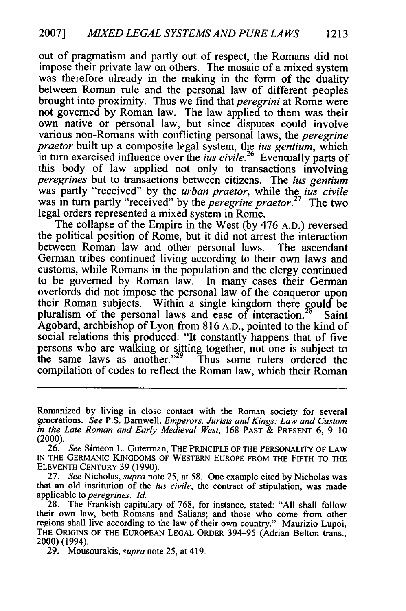out of pragmatism and partly out of respect, the Romans did not impose their private law on others. The mosaic of a mixed system was therefore already in the making in the form of the duality between Roman rule and the personal law of different peoples brought into proximity. Thus we find that *peregrini* at Rome were not governed by Roman law. The law applied to them was their own native or personal law, but since disputes could involve various non-Romans with conflicting personal laws, the *peregrine praetor* built up a composite legal system, the ius *gentium,* which in turn exercised influence over the *ius civile.26* Eventually parts of this body of law applied not only to transactions involving *peregrines* but to transactions between citizens. The ius *gentium* was partly "received" by the *urban praetor*, while the *jus civile* was in turn partly "received" by the *peregrine praetor.27* The two legal orders represented a mixed system in Rome.

The collapse of the Empire in the West (by 476 **A.D.)** reversed the political position of Rome, but it did not arrest the interaction between Roman law and other personal laws. The ascendant German tribes continued living according to their own laws and customs, while Romans in the population and the clergy continued to be governed by Roman law. In many cases their German overlords did not impose the personal law of the conqueror upon their Roman subjects. Within a single kingdom there could be pluralism of the personal laws and ease of interaction.<sup>28</sup> Saint Agobard, archbishop of Lyon from 816 **A.D.,** pointed to the kind of social relations this produced: "It constantly happens that of five persons who are walking or sitting together, not one is subject to the same laws as another."<sup>29</sup> Thus some rulers ordered the compilation of codes to reflect the Roman law, which their Roman

Romanized by living in close contact with the Roman society for several generations. *See* P.S. Barnwell, *Emperors, Jurists and Kings: Law and Custom in the Late Roman and Early Medieval West,* 168 PAST & PRESENT 6, 9-10 (2000).

<sup>26.</sup> *See* Simeon L. Guterman, THE PRINCIPLE OF THE PERSONALITY OF LAW IN THE GERMANIC KINGDOMS OF WESTERN EUROPE FROM THE FIFTH TO THE ELEVENTH CENTURY 39 (1990).

<sup>27.</sup> *See* Nicholas, *supra* note 25, at 58. One example cited by Nicholas was that an old institution of the *ius civile,* the contract of stipulation, was made applicable *to peregrines.* **Id.**

<sup>28.</sup> The Frankish capitulary of 768, for instance, stated: "All shall follow their own law, both Romans and Salians; and those who come from other regions shall live according to the law of their own country." Maurizio Lupoi, THE ORIGINS OF THE EUROPEAN LEGAL ORDER 394-95 (Adrian Belton trans., 2000) (1994).

<sup>29.</sup> Mousourakis, *supra* note 25, at 419.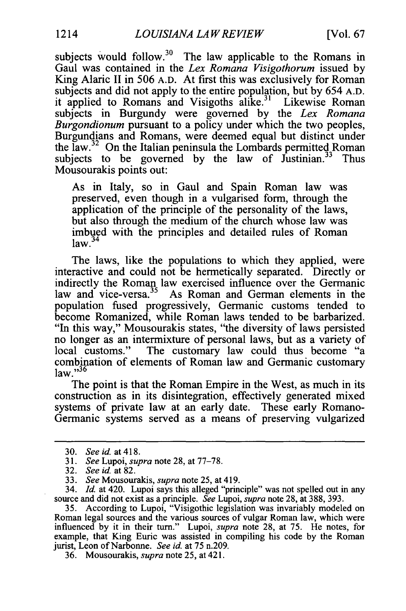subjects would follow. $30$  The law applicable to the Romans in Gaul was contained in the *Lex Romana Visigothorum* issued by King Alaric II in 506 A.D. At first this was exclusively for Roman subjects and did not apply to the entire population, but by 654 A.D. it applied to Romans and Visigoths  $\hat{a}$ like.<sup>31</sup> Likewise Roman subjects in Burgundy were governed by the *Lex Romana Burgondionum* pursuant to a policy under which the two peoples, Burgundians and Romans, were deemed equal but distinct under the  $\text{law.}^{32}$  On the Italian peninsula the Lombards permitted Roman subjects to be governed by the law of  $J$ ustinian.<sup>33</sup> Thus Mousourakis points out:

As in Italy, so in Gaul and Spain Roman law was preserved, even though in a vulgarised form, through the application of the principle of the personality of the laws, but also through the medium of the church whose law was imbued with the principles and detailed rules of Roman nnouç<br>law.<sup>34</sup>

The laws, like the populations to which they applied, were interactive and could not be hermetically separated. Directly or indirectly the Roman law exercised influence over the Germanic law and vice-versa.<sup>35</sup> As Roman and German elements in the population fused progressively, Germanic customs tended to become Romanized, while Roman laws tended to be barbarized. "In this way," Mousourakis states, "the diversity of laws persisted no longer as an intermixture of personal laws, but as a variety of local customs." The customary law could thus become "a combination of elements of Roman law and Germanic customary  $law. "36$ 

The point is that the Roman Empire in the West, as much in its construction as in its disintegration, effectively generated mixed systems of private law at an early date. These early Romano-Germanic systems served as a means of preserving vulgarized

34. *Id.* at 420. Lupoi says this alleged "principle" was not spelled out in any source and did not exist as a principle. *See* Lupoi, *supra* note 28, at 388, 393.

35. According to Lupoi, "Visigothic legislation was invariably modeled on Roman legal sources and the various sources of vulgar Roman law, which were influenced by it in their turn." Lupoi, *supra* note 28, at 75. He notes, for example, that King Euric was assisted in compiling his code by the Roman jurist, Leon of Narbonne. *See* id. at 75 n.209.

36. Mousourakis, *supra* note 25, at 421.

<sup>30.</sup> *Seeid.* at418.

<sup>31.</sup> *See* Lupoi, *supra* note 28, at 77-78.

<sup>32.</sup> *See id* at 82.

<sup>33.</sup> *See* Mousourakis, *supra* note 25, at 419.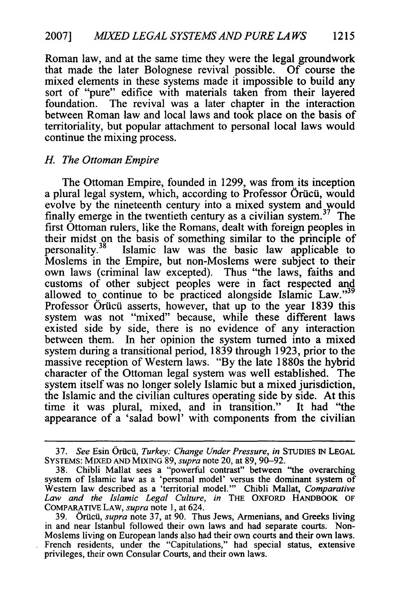Roman law, and at the same time they were the legal groundwork that made the later Bolognese revival possible. **Of** course the mixed elements in these systems made it impossible to build any sort of "pure" edifice with materials taken from their layered foundation. The revival was a later chapter in the interaction between Roman law and local laws and took place on the basis of territoriality, but popular attachment to personal local laws would continue the mixing process.

# *H. The Ottoman Empire*

The Ottoman Empire, founded in **1299,** was from its inception a plural legal system, which, according to Professor Orucui, would evolve **by** the nineteenth century into a mixed system and would finally emerge in the twentieth century as a civilian system.<sup>37</sup> The first Ottoman rulers, like the Romans, dealt with foreign peoples in their midst on the basis of something similar to the principle of personality. 38 Islamic law was the basic law applicable to Moslems in the Empire, but non-Moslems were subject to their own laws (criminal law excepted). Thus "the laws, faiths and customs of other subject peoples were in fact respected and allowed to continue to be practiced alongside Islamic Law."<sup>39</sup> Professor Oricu asserts, however, that up to the year **1839** this system was not "mixed" because, while these different laws existed side **by** side, there is no evidence of any interaction between them. In her opinion the system turned into a mixed system during a transitional period, **1839** through **1923,** prior to the massive reception of Western laws. **"By** the late 1880s the hybrid character of the Ottoman legal system was well established. The system itself was no longer solely Islamic but a mixed jurisdiction, the Islamic and the civilian cultures operating side **by** side. At this time it was plural, mixed, and in transition." It had "the appearance of a 'salad bowl' with components from the civilian

**<sup>37.</sup>** *See* Esin **Oricii,** *Turkey: Change Under Pressure, in* STUDIES IN **LEGAL SYSTEMS:** MIXED **AND MIXING** 89, *supra* note 20, at 89, 90-92.

<sup>38.</sup> Chibli Mallat sees a "powerful contrast" between "the overarching system of Islamic law as a 'personal model' versus the dominant system of Western law described as a 'territorial model."' Chibli Mallat, *Comparative Law and the Islamic Legal Culture, in* **THE** OXFORD HANDBOOK OF COMPARATIVE LAW, *supra* note 1, at 624.

<sup>39.</sup> Orficii, *supra* note 37, at 90. Thus Jews, Armenians, and Greeks living in and near Istanbul followed their own laws and had separate courts. Non-Moslems living on European lands also had their own courts and their own laws. French residents, under the "Capitulations," had special status, extensive privileges, their own Consular Courts, and their own laws.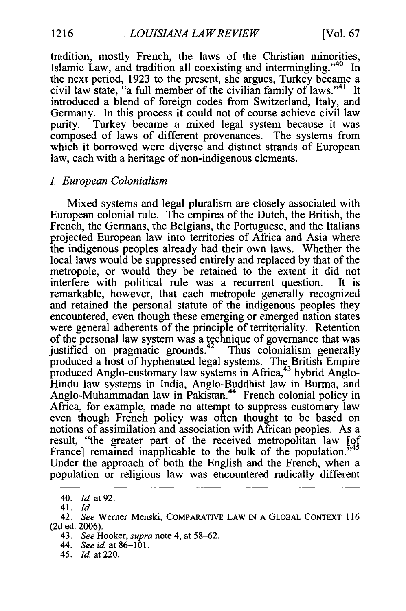tradition, mostly French, the laws of the Christian minorities, Islamic Law, and tradition all coexisting and intermingling. '40 In the next period, 1923 to the present, she argues, Turkey became a civil law state, "a full member of the civilian family of laws."<sup>41</sup> It introduced a blend of foreign codes from Switzerland, Italy, and Germany. In this process it could not of course achieve civil law purity. Turkey became a mixed legal system because it was composed of laws of different provenances. The systems from which it borrowed were diverse and distinct strands of European law, each with a heritage of non-indigenous elements.

### *. European Colonialism*

Mixed systems and legal pluralism are closely associated with European colonial rule. The empires of the Dutch, the British, the French, the Germans, the Belgians, the Portuguese, and the Italians projected European law into territories of Africa and Asia where the indigenous peoples already had their own laws. Whether the local laws would be suppressed entirely and replaced by that of the metropole, or would they be retained to the extent it did not interfere with political rule was a recurrent question. It is remarkable, however, that each metropole generally recognized and retained the personal statute of the indigenous peoples they encountered, even though these emerging or emerged nation states were general adherents of the principle of territoriality. Retention of the personal law system was a technique of governance that was justified on pragmatic grounds.<sup>42</sup> Thus colonialism generally produced a host of hyphenated legal systems. The British Empire produced Anglo-customary law systems in Africa,<sup>43</sup> hybrid Anglo-Hindu law systems in India, Anglo-Buddhist law in Burma, and Anglo-Muhammadan law in Pakistan.<sup>44</sup> French colonial policy in Africa, for example, made no attempt to suppress customary law even though French policy was often thought to be based on notions of assimilation and association with African peoples. As a result, "the greater part of the received metropolitan law [of France] remained inapplicable to the bulk of the population.<sup>3</sup> Under the approach of both the English and the French, when a population or religious law was encountered radically different

- 43. *See* Hooker, *supra* note 4, at 58-62.
- *44. See id.* at 86-101.
- 45. *Id.* at 220.

<sup>40.</sup> *Id.* at 92.

<sup>41.</sup> *Id.*

<sup>42.</sup> *See* Werner Menski, COMPARATIVE LAW **IN A** GLOBAL CONTEXT 116 (2d ed. 2006).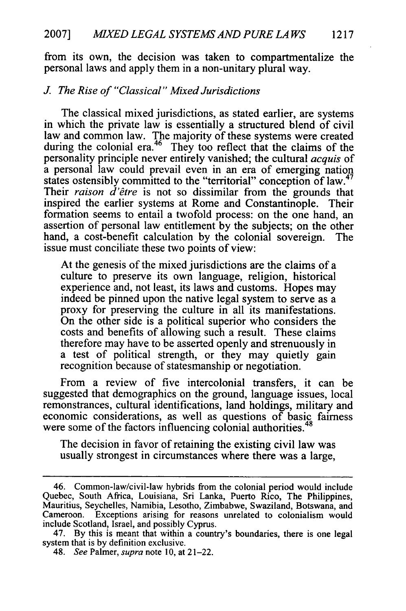from its own, the decision was taken to compartmentalize the personal laws and apply them in a non-unitary plural way.

# *J The Rise of "Classical" Mixed Jurisdictions*

The classical mixed jurisdictions, as stated earlier, are systems in which the private law is essentially a structured blend of civil law and common law. The majority of these systems were created during the colonial era.<sup>46</sup> They too reflect that the claims of the personality principle never entirely vanished; the cultural *acquis* of a personal law could prevail even in an era of emerging nation states ostensibly committed to the "territorial" conception of law.<sup>47</sup> Their *raison d'6tre* is not so dissimilar from the grounds that inspired the earlier systems at Rome and Constantinople. Their formation seems to entail a twofold process: on the one hand, an assertion of personal law entitlement by the subjects; on the other hand, a cost-benefit calculation by the colonial sovereign. The issue must conciliate these two points of view:

At the genesis of the mixed jurisdictions are the claims of a culture to preserve its own language, religion, historical experience and, not least, its laws and customs. Hopes may indeed be pinned upon the native legal system to serve as a proxy for preserving the culture in all its manifestations. On the other side is a political superior who considers the costs and benefits of allowing such a result. These claims therefore may have to be asserted openly and strenuously in a test of political strength, or they may quietly gain recognition because of statesmanship or negotiation.

From a review of five intercolonial transfers, it can be suggested that demographics on the ground, language issues, local remonstrances, cultural identifications, land holdings, military and economic considerations, as well as questions of basic fairness were some of the factors influencing colonial authorities.<sup>48</sup>

The decision in favor of retaining the existing civil law was usually strongest in circumstances where there was a large,

<sup>46.</sup> Common-law/civil-law hybrids from the colonial period would include Quebec, South Africa, Louisiana, Sri Lanka, Puerto Rico, The Philippines, Mauritius, Seychelles, Namibia, Lesotho, Zimbabwe, Swaziland, Botswana, and Cameroon. Exceptions arising for reasons unrelated to colonialism would include Scotland, Israel, and possibly Cyprus.

<sup>47.</sup> By this is meant that within a country's boundaries, there is one legal system that is by definition exclusive.

<sup>48.</sup> *See* Palmer, *supra* note 10, at 21-22.